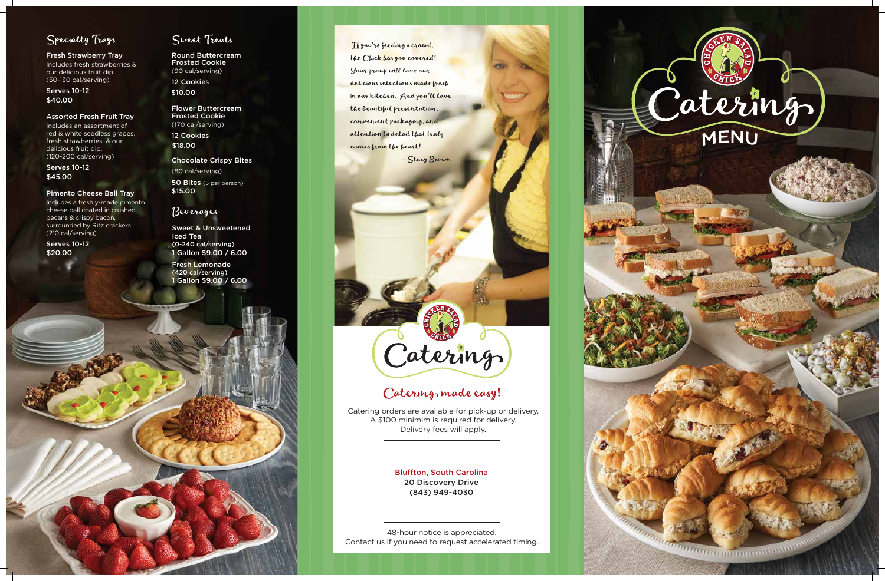



## Specialty Trays

Fresh Strawberry Tray Includes fresh strawberries & our delicious fruit dip. (50-130 cal/serving)

#### Assorted Fresh Fruit Tray

Includes an assortment of red & white seedless grapes, fresh strawberries, & our delicious fruit dip. (120-200 cal/serving)

#### Pimento Cheese Ball Tray

50 Bites (5 per person) \$15.00

Includes a freshly-made pimento cheese ball coated in crushed pecans & crispy bacon, surrounded by Ritz crackers. (210 cal/serving)

Serves 10-12 \$40.00

Serves 10-12 \$45.00

Flower Buttercream Frosted Cookie (170 cal/serving)

Round Buttercream Frosted Cookie (90 cal/serving) 12 Cookies \$10.00

Serves 10-12 \$20.00

### Sweet Treats

Chocolate Crispy Bites

(80 cal/serving)

12 Cookies \$18.00



If you're feeding a crowd, the Chick has you covered! Your group will love our delicious selections made fresh in our kitchen. And you'll love the beautiful presentation, convenient packaging, and attention to detail that truly comes from the heart!

- Stacy Brown

# Catering

# Catering made easy!

Fresh Lemonade (420 cal/serving)

1 Gallon \$9.00 / 6.00 Sweet & Unsweetened Iced Tea (0-240 cal/serving)

#### Beverages

48-hour notice is appreciated. Contact us if you need to request accelerated timing.

Catering orders are available for pick-up or delivery. A \$100 minimim is required for delivery. Delivery fees will apply.

#### Bluffton, South Carolina 20 Discovery Drive (843) 949-4030